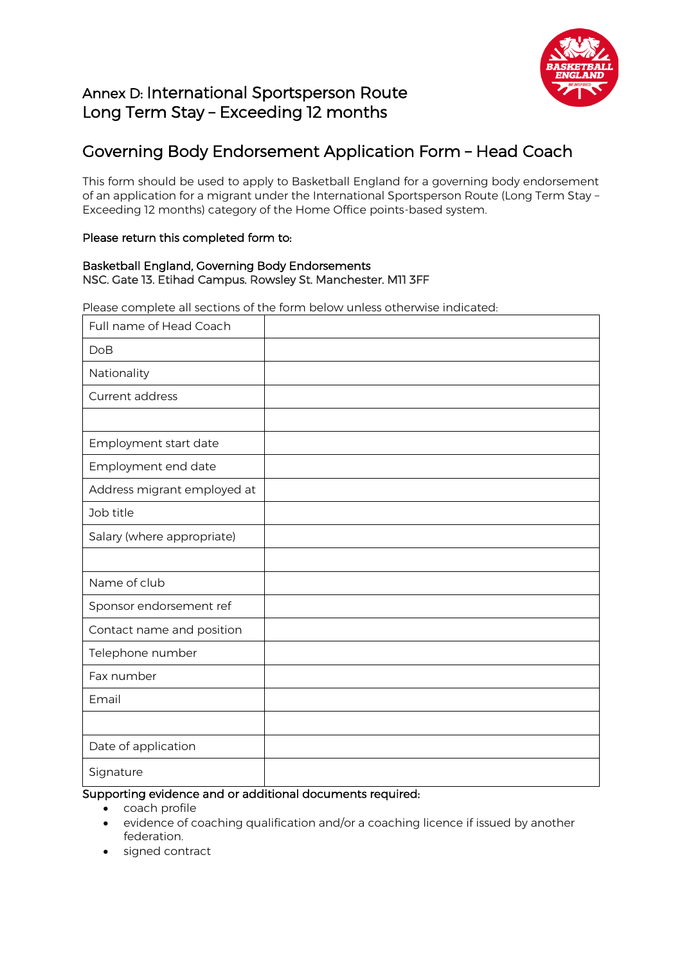

# Annex D: International Sportsperson Route Long Term Stay – Exceeding 12 months

# Governing Body Endorsement Application Form – Head Coach

This form should be used to apply to Basketball England for a governing body endorsement of an application for a migrant under the International Sportsperson Route (Long Term Stay – Exceeding 12 months) category of the Home Office points-based system.

### Please return this completed form to:

#### Basketball England, Governing Body Endorsements NSC. Gate 13. Etihad Campus. Rowsley St. Manchester. M11 3FF

Please complete all sections of the form below unless otherwise indicated:

| Full name of Head Coach     |  |
|-----------------------------|--|
| <b>DoB</b>                  |  |
| Nationality                 |  |
| Current address             |  |
|                             |  |
| Employment start date       |  |
| Employment end date         |  |
| Address migrant employed at |  |
| Job title                   |  |
| Salary (where appropriate)  |  |
|                             |  |
| Name of club                |  |
| Sponsor endorsement ref     |  |
| Contact name and position   |  |
| Telephone number            |  |
| Fax number                  |  |
| Email                       |  |
|                             |  |
| Date of application         |  |
| Signature                   |  |

### Supporting evidence and or additional documents required:

- coach profile
- evidence of coaching qualification and/or a coaching licence if issued by another federation.
- signed contract